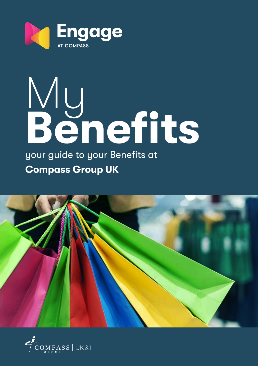

# My **Benefits** your guide to your Benefits at **Compass Group UK**



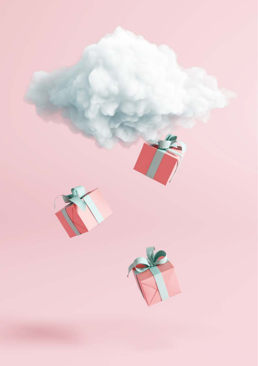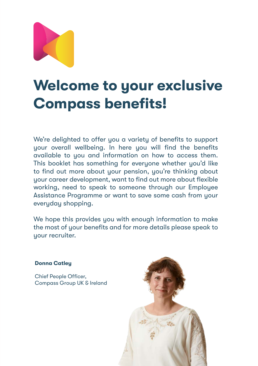## **Welcome to your exclusive Compass benefits!**

We're delighted to offer you a variety of benefits to support your overall wellbeing. In here you will find the benefits available to you and information on how to access them. This booklet has something for everyone whether you'd like to find out more about your pension, you're thinking about your career development, want to find out more about flexible working, need to speak to someone through our Employee Assistance Programme or want to save some cash from your everyday shopping.

We hope this provides you with enough information to make the most of your benefits and for more details please speak to uour recruiter.

#### **Donna Catley**

Chief People Officer, Compass Group UK & Ireland

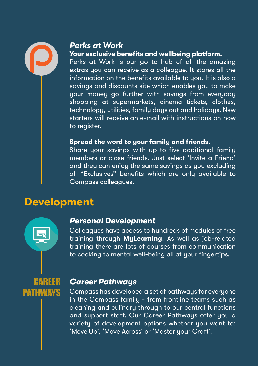

### *Perks at Work*

#### **Your exclusive benefits and wellbeing platform.**

Perks at Work is our go to hub of all the amazing extras you can receive as a colleague. It stores all the information on the benefits available to you. It is also a savings and discounts site which enables you to make your money go further with savings from everyday shopping at supermarkets, cinema tickets, clothes, technology, utilities, family days out and holidays. New starters will receive an e-mail with instructions on how to register.

#### **Spread the word to your family and friends.**

Share your savings with up to five additional family members or close friends. Just select 'Invite a Friend' and they can enjoy the same savings as you excluding all "Exclusives" benefits which are only available to Compass colleagues.

### **Development**



#### *Personal Development*

Colleagues have access to hundreds of modules of free training through **MyLearning**. As well as job-related training there are lots of courses from communication to cooking to mental well-being all at your fingertips.

### **CARFFR PATHWAYS**

### *Career Pathways*

Compass has developed a set of pathways for everyone in the Compass family - from frontline teams such as cleaning and culinary through to our central functions and support staff. Our Career Pathways offer you a variety of development options whether you want to: 'Move Up', 'Move Across' or 'Master your Craft'.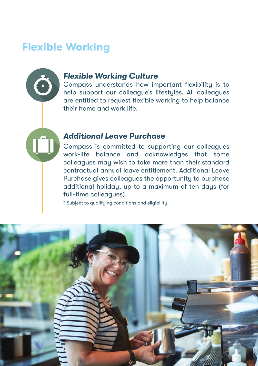### **Flexible Working**

### *Flexible Working Culture*

Compass understands how important flexibility is to help support our colleague's lifestyles. All colleagues are entitled to request flexible working to help balance their home and work life.

### *Additional Leave Purchase*

Compass is committed to supporting our colleagues work-life balance and acknowledges that some colleagues may wish to take more than their standard contractual annual leave entitlement. Additional Leave Purchase gives colleagues the opportunity to purchase additional holiday, up to a maximum of ten days (for full-time colleagues).

\* Subject to qualifying conditions and eligibility.

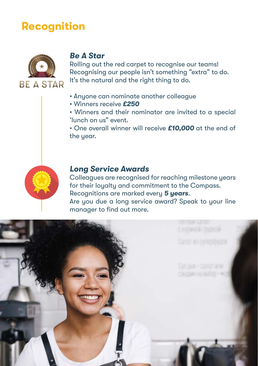### **Recognition**



### *Be A Star*

Rolling out the red carpet to recognise our teams! Recognising our people isn't something "extra" to do. It's the natural and the right thing to do.

- Anyone can nominate another colleague
- Winners receive *£250*
- Winners and their nominator are invited to a special 'lunch on us" event.

• One overall winner will receive *£10,000* at the end of the year.



### *Long Service Awards*

Colleagues are recognised for reaching milestone years for their loyalty and commitment to the Compass. Recognitions are marked every *5 years*. Are you due a long service award? Speak to your line manager to find out more.

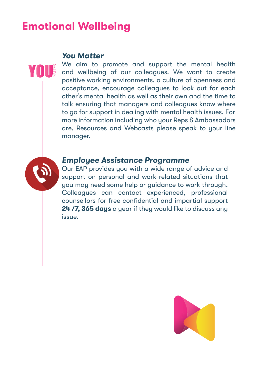## **Emotional Wellbeing**

### *You Matter*

We aim to promote and support the mental health and wellbeing of our colleagues. We want to create positive working environments, a culture of openness and acceptance, encourage colleagues to look out for each other's mental health as well as their own and the time to talk ensuring that managers and colleagues know where to go for support in dealing with mental health issues. For more information including who your Reps & Ambassadors are, Resources and Webcasts please speak to your line manager.

### *Employee Assistance Programme*

Our EAP provides you with a wide range of advice and support on personal and work-related situations that you may need some help or guidance to work through. Colleagues can contact experienced, professional counsellors for free confidential and impartial support **24 /7, 365 days** a year if they would like to discuss any issue.

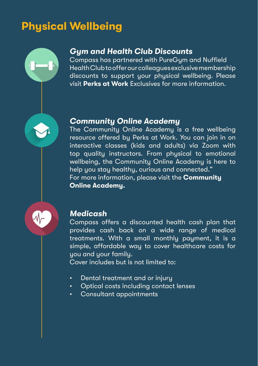## **Physical Wellbeing**



Compass has partnered with PureGym and Nuffield Health Club to offer our colleagues exclusive membership discounts to support your physical wellbeing. Please visit **Perks at Work** Exclusives for more information.

#### *Community Online Academy*

The Community Online Academy is a free wellbeing resource offered by Perks at Work. You can join in on interactive classes (kids and adults) via Zoom with top quality instructors. From physical to emotional wellbeing, the Community Online Academy is here to help you stay healthy, curious and connected." For more information, please visit the **Community Online Academy.**

### *Medicash*

Compass offers a discounted health cash plan that provides cash back on a wide range of medical treatments. With a small monthly payment, it is a simple, affordable way to cover healthcare costs for you and your family.

Cover includes but is not limited to:

- Dental treatment and or injury
- Optical costs including contact lenses
- Consultant appointments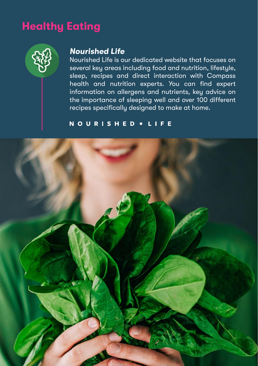## **Healthy Eating**



### *Nourished Life*

Nourished Life is our dedicated website that focuses on several key areas including food and nutrition, lifestyle, sleep, recipes and direct interaction with Compass health and nutrition experts. You can find expert information on allergens and nutrients, key advice on the importance of sleeping well and over 100 different recipes specifically designed to make at home.

#### NOURISHED . LIFE

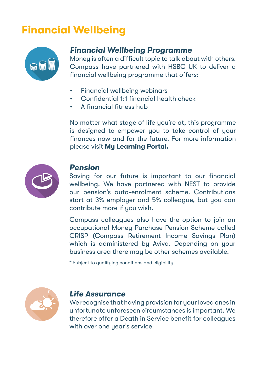## **Financial Wellbeing**



### *Financial Wellbeing Programme*

Moneu is often a difficult topic to talk about with others. Compass have partnered with HSBC UK to deliver a financial wellbeing programme that offers:

- Financial wellbeing webinars
- Confidential 1:1 financial health check
- A financial fitness hub

No matter what stage of life you're at, this programme is designed to empower you to take control of your finances now and for the future. For more information please visit **My Learning Portal.**

### *Pension*

Saving for our future is important to our financial wellbeing. We have partnered with NEST to provide our pension's auto-enrolment scheme. Contributions start at 3% employer and 5% colleague, but you can contribute more if you wish.

Compass colleagues also have the option to join an occupational Money Purchase Pension Scheme called CRISP (Compass Retirement Income Savings Plan) which is administered by Aviva. Depending on your business area there may be other schemes available.

\* Subject to qualifying conditions and eligibility.

### *Life Assurance*

We recognise that having provision for your loved ones in unfortunate unforeseen circumstances is important. We therefore offer a Death in Service benefit for colleagues with over one year's service.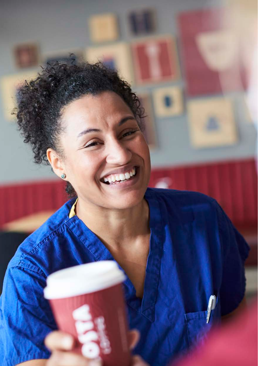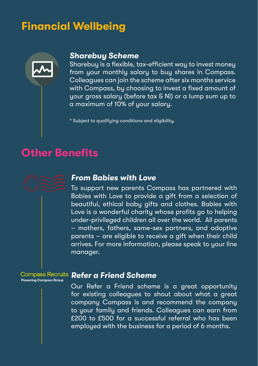### **Financial Wellbeing**



#### *Sharebuy Scheme*

Sharebuy is a flexible, tax-efficient way to invest money from your monthly salary to buy shares in Compass. Colleagues can join the scheme after six months service with Compass, by choosing to invest a fixed amount of your gross salary (before tax & NI) or a lump sum up to a maximum of 10% of your salary.

\* Subject to qualifying conditions and eligibility.

### **Other Benefits**



### *From Babies with Love*

To support new parents Compass has partnered with Babies with Love to provide a gift from a selection of beautiful, ethical baby gifts and clothes. Babies with Love is a wonderful charity whose profits go to helping under-privileged children all over the world. All parents – mothers, fathers, same-sex partners, and adoptive parents – are eligible to receive a gift when their child arrives. For more information, please speak to your line manager.

Powering Compass Group

### Compass Recruits **Refer a Friend Scheme**

Our Refer a Friend scheme is a great opportunity for existing colleagues to shout about what a great company Compass is and recommend the company to your family and friends. Colleagues can earn from £200 to £500 for a successful referral who has been employed with the business for a period of 6 months.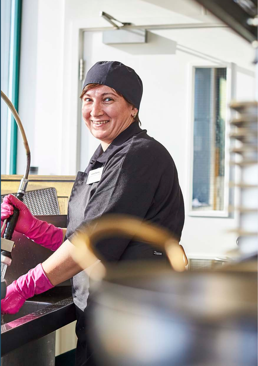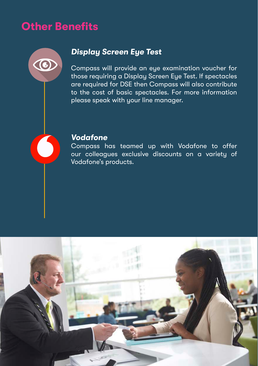### **Other Benefits**

 $\left( 6\right)$ 



Compass will provide an eye examination voucher for those requiring a Display Screen Eye Test. If spectacles are required for DSE then Compass will also contribute to the cost of basic spectacles. For more information please speak with your line manager.

#### *Vodafone*

Compass has teamed up with Vodafone to offer our colleagues exclusive discounts on a variety of Vodafone's products.

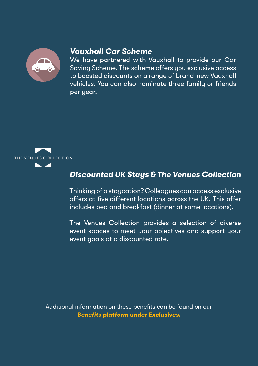

### *Vauxhall Car Scheme*

We have partnered with Vauxhall to provide our Car Saving Scheme. The scheme offers you exclusive access to boosted discounts on a range of brand-new Vauxhall vehicles. You can also nominate three family or friends per year.



### *Discounted UK Stays & The Venues Collection*

Thinking of a staycation? Colleagues can access exclusive offers at five different locations across the UK. This offer includes bed and breakfast (dinner at some locations).

The Venues Collection provides a selection of diverse event spaces to meet your objectives and support your event goals at a discounted rate.

Additional information on these benefits can be found on our *Benefits platform under Exclusives.*